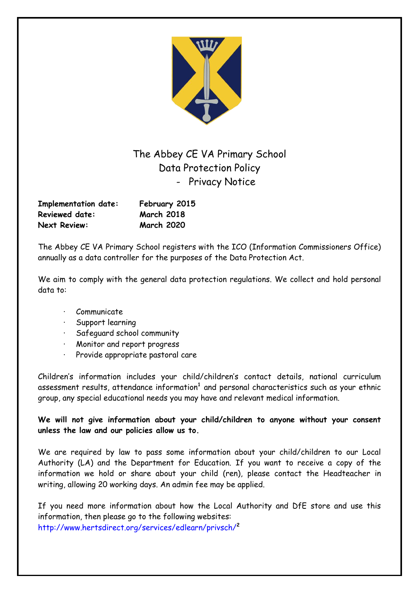

The Abbey CE VA Primary School Data Protection Policy - Privacy Notice

| <b>Implementation date:</b> | February 2015     |
|-----------------------------|-------------------|
| <b>Reviewed date:</b>       | <b>March 2018</b> |
| <b>Next Review:</b>         | <b>March 2020</b> |

The Abbey CE VA Primary School registers with the ICO (Information Commissioners Office) annually as a data controller for the purposes of the Data Protection Act.

We aim to comply with the general data protection regulations. We collect and hold personal data to:

- **Communicate**
- · Support learning
- · Safeguard school community
- · Monitor and report progress
- Provide appropriate pastoral care

Children's information includes your child/children's contact details, national curriculum assessment results, attendance information**<sup>1</sup>** and personal characteristics such as your ethnic group, any special educational needs you may have and relevant medical information.

**We will not give information about your child/children to anyone without your consent unless the law and our policies allow us to.**

We are required by law to pass some information about your child/children to our Local Authority (LA) and the Department for Education. If you want to receive a copy of the information we hold or share about your child (ren), please contact the Headteacher in writing, allowing 20 working days. An admin fee may be applied.

If you need more information about how the Local Authority and DfE store and use this information, then please go to the following websites: http://www.hertsdirect.org/services/edlearn/privsch/**<sup>2</sup>**